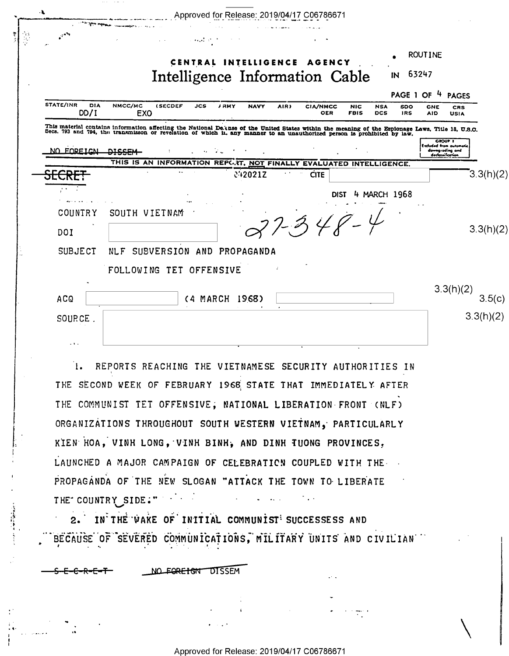| $\cdot$ ). |                                                                                                                                                                                                                                   |                            |                           |                |             |                      |      | Approved for Release: 2019/04/17 C06786671                         |                           |                          |                   |                   |                                           |           |
|------------|-----------------------------------------------------------------------------------------------------------------------------------------------------------------------------------------------------------------------------------|----------------------------|---------------------------|----------------|-------------|----------------------|------|--------------------------------------------------------------------|---------------------------|--------------------------|-------------------|-------------------|-------------------------------------------|-----------|
|            |                                                                                                                                                                                                                                   |                            |                           |                |             |                      |      |                                                                    |                           |                          |                   |                   |                                           |           |
|            |                                                                                                                                                                                                                                   |                            |                           |                |             | CENTRAL INTELLIGENCE |      | AGENCY                                                             |                           |                          |                   | <b>ROUTINE</b>    |                                           |           |
|            |                                                                                                                                                                                                                                   |                            |                           |                |             |                      |      | Intelligence Information Cable                                     |                           |                          | IN                | 63247             |                                           |           |
|            |                                                                                                                                                                                                                                   |                            |                           |                |             |                      |      |                                                                    |                           |                          |                   | PAGE 1 OF 4 PAGES |                                           |           |
|            | <b>STATE/INR</b><br><b>DIA</b><br>DD/I                                                                                                                                                                                            | NMCC/MC<br>EX <sub>0</sub> | <b>(SECDEF</b>            | <b>JCS</b>     | <b>/RMY</b> | <b>NAVY</b>          | AIR) | <b>CIA/NMCC</b><br><b>OER</b>                                      | <b>NIC</b><br><b>FBIS</b> | <b>NSA</b><br><b>DCS</b> | SDO<br><b>IRS</b> | CNE<br><b>AID</b> | <b>CRS</b><br><b>USIA</b>                 |           |
|            | This material contains information affecting the National De thes of the United States within the meaning of the Espionage Laws, Title 18, U.S.O.<br>Secs. 793 and 794, the transmisson or revelation of which in any manner to a |                            |                           |                |             |                      |      |                                                                    |                           |                          |                   |                   |                                           |           |
|            |                                                                                                                                                                                                                                   |                            |                           |                |             |                      |      |                                                                    |                           |                          |                   |                   | <b>CROUP 1</b><br>Excluded from automotic |           |
|            | NO FOREICN                                                                                                                                                                                                                        | <b>DICCEM</b>              |                           |                |             |                      |      | THIS IS AN INFORMATION REPORT, NOT FINALLY EVALUATED INTELLIGENCE. |                           |                          |                   |                   | downgroding and<br>declassification       |           |
|            |                                                                                                                                                                                                                                   |                            |                           |                |             | c'+2021Z             |      | <b>CITE</b>                                                        |                           |                          |                   |                   |                                           | 3.3(h)(2) |
|            |                                                                                                                                                                                                                                   |                            |                           |                |             |                      |      |                                                                    | <b>DIST</b>               | 4 MARCH 1968             |                   |                   |                                           |           |
|            | <b>COUNTRY</b>                                                                                                                                                                                                                    | SOUTH VIETNAM              |                           |                |             |                      |      |                                                                    |                           |                          |                   |                   |                                           |           |
|            | DOI                                                                                                                                                                                                                               |                            |                           |                |             |                      |      | $7.348 -$                                                          |                           |                          |                   |                   |                                           | 3.3(h)(2) |
|            |                                                                                                                                                                                                                                   |                            |                           |                |             |                      |      |                                                                    |                           |                          |                   |                   |                                           |           |
|            | <b>SUBJECT</b>                                                                                                                                                                                                                    | <b>NLF</b>                 | SUBVERSION AND PROPAGANDA |                |             |                      |      |                                                                    |                           |                          |                   |                   |                                           |           |
|            |                                                                                                                                                                                                                                   | FOLLOWING TET OFFENSIVE    |                           |                |             |                      |      |                                                                    |                           |                          |                   |                   |                                           |           |
|            |                                                                                                                                                                                                                                   |                            |                           |                |             |                      |      |                                                                    |                           |                          |                   |                   | 3.3(h)(2)                                 |           |
|            | ACQ                                                                                                                                                                                                                               |                            |                           | (4 MARCH 1968) |             |                      |      |                                                                    |                           |                          |                   |                   |                                           | 3.5(c)    |
|            | SOURCE.                                                                                                                                                                                                                           |                            |                           |                |             |                      |      |                                                                    |                           |                          |                   |                   |                                           | 3.3(h)(2) |
|            |                                                                                                                                                                                                                                   |                            |                           |                |             |                      |      |                                                                    |                           |                          |                   |                   |                                           |           |
|            | .                                                                                                                                                                                                                                 |                            |                           |                |             |                      |      |                                                                    |                           |                          |                   |                   |                                           |           |

I. REPORTS REACHING THE VIETNAMESE SECURITY AUTHORITIES IN THE SECOND WEEK OF FEBRUARY 1968 STATE THAT IMMEDIATELY AFTER THE COMMUNIST TET OFFENSIVE, NATIONAL LIBERATION FRONT (NLF) ORGANIZATIONS THROUGHOUT SOUTH WESTERN VIETNAM, PARTICULARLY KIEN HOA, VINH LONG, VINH BINH, AND DINH TUONG PROVINCES, LAUNCHED A MAJOR CAMPAIGN OF CELEBRATION COUPLED WITH THE PROPAGANDA OF THE NEW SLOGAN "ATTACK THE TOWN TO LIBERATE THE COUNTRY SIDE."

2. IN THE WAKE OF INITIAL COMMUNIST SUCCESSESS AND BECAUSE OF SEVERED COMMUNICATIONS, MILITARY UNITS AND CIVILIAN

NO FOREIGN DISSEM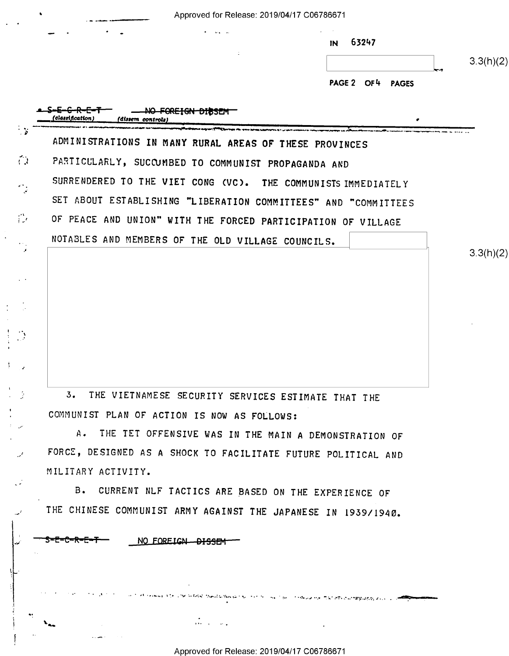|                  |                                                                | 63247<br>$\overline{M}$     | 3.3(h)(2) |
|------------------|----------------------------------------------------------------|-----------------------------|-----------|
|                  |                                                                | PAGE 2 OF 4<br><b>PAGES</b> |           |
| (classification) | FOREIGN DIBSEM<br>(dissem controls                             |                             |           |
|                  | ADMINISTRATIONS IN MANY RURAL AREAS OF THESE PROVINCES         |                             |           |
|                  | PARTICULARLY, SUCCUMBED TO COMMUNIST PROPAGANDA AND            |                             |           |
|                  | SURRENDERED TO THE VIET CONG (VC). THE COMMUNISTS IMMEDIATELY  |                             |           |
|                  | SET ABOUT ESTABLISHING "LIBERATION COMMITTEES" AND "COMMITTEES |                             |           |
|                  | OF PEACE AND UNION" WITH THE FORCED PARTICIPATION OF VILLAGE   |                             |           |
|                  | NOTABLES AND MEMBERS OF THE OLD VILLAGE COUNCILS.              |                             |           |
|                  |                                                                |                             | 3.3(h)(2) |
|                  |                                                                |                             |           |
|                  |                                                                |                             |           |
|                  |                                                                |                             |           |
|                  |                                                                |                             |           |
|                  |                                                                |                             |           |

5. THE VIETNAMESE SECURITY SERVICES ESTIMATE THAT THE COMMUNIST PLAN OF ACTION IS NOW AS FOLLOWS:

A. THE TET OFFENSIVE WAS IN THE MAIN A DEMONSTRATION OF FORCE, DESIGNED AS A SHOCK TO FACILITATE FUTURE POLITICAL AND MILITARY ACTIVITY.

B. CURRENT NLF TACTICS ARE BASED ON THE EXPERIENCE OF THE CHINESE COMMUNIST ARMY AGAINST THE JAPANESE IN 1959/1940.

 $\lambda_{\rm obs}$  . The interaction of the interaction of the interaction of the interaction of the interaction of the interaction of the interaction of the interaction of the interaction of the interaction of the interaction of

NO FOREIGN DISSEM

فممدد

 $a \to b^+$  and  $b$  for the distribution  $a \wedge b^-$  . For  $a \wedge a^-$  , the same of the other distribution  $a \wedge b^-$  . The same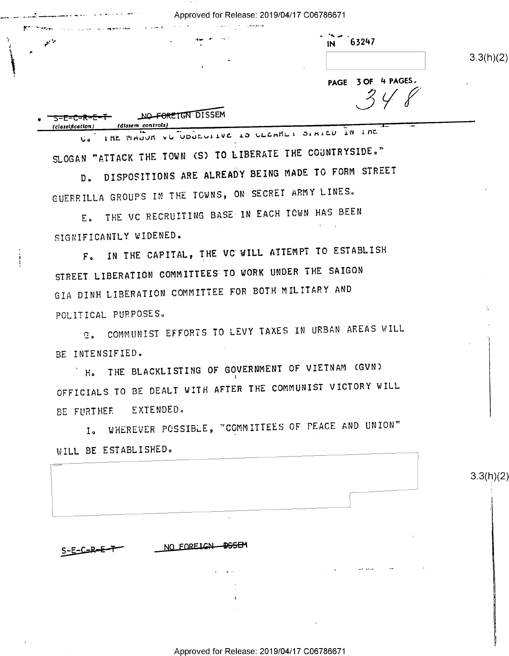Approved for Release: 2019/04/17 C06786671

| $\frac{1}{1}$ 10 $\frac{1}{10}$ 63247 |
|---------------------------------------|

 $3.3(h)(2)$ 

PAGE 3 OF 4 PAGES.  $348$ 

| ╶ <del>ऽ-E-C-R-E-T</del> | NO FORETGN DISSEM |
|--------------------------|-------------------|
| (classification)         | (dissem controls) |

مشحم

U. IHE WHOOK VU UDUCULLUE 10 ULEMBLI DIMIEU IN INC SLOGAN "ATTACK THE TOWN (S) TO LIBERATE THE COUNTRYSIDE."

D. DISPOSITIONS ARE ALREADY BEING MADE TO FORM STREET GUERRILLA GROUPS IN THE TOWNS, ON SECRET ARMY LINES.

E. THE VC RECRUITING BASE IN EACH TOWN HAS BEEN SIGNIFICANTLY WIDENED.

F. IN THE CAPITAL, THE VC WILL ATTEMPT TO ESTABLISH STREET LIBERATION COMMITTEES TO WORK UNDER THE SAIGON GIA DINH LIBERATION COMMITTEE FOR BOTH MILITARY AND POLITICAL PURPOSES.

G. COMMUNIST EFFORTS TO LEVY TAXES IN URBAN AREAS WILL BE INTENSIFIED.

H. THE BLACKLISTING OF GOVERNMENT OF VIETNAM (GVN) OFFICIALS TO BE DEALT WITH AFTER THE COMMUNIST VICTORY WILL BE FURTHER EXTENDED.

I. WHEREVER POSSIBLE, "COMMITTEES OF PEACE AND UNION" WILL BE ESTABLISHED.

|             | WILL DE COLADOYOURS. |                                  |                     |                                         |  |
|-------------|----------------------|----------------------------------|---------------------|-----------------------------------------|--|
|             |                      |                                  |                     |                                         |  |
|             |                      |                                  |                     |                                         |  |
|             |                      |                                  |                     |                                         |  |
|             |                      | $\sim 10$                        |                     |                                         |  |
|             |                      |                                  |                     |                                         |  |
| $S-E-E-E-F$ |                      | NO FOREIGN DSSEM                 |                     |                                         |  |
|             |                      | <b>Service</b> St.<br>$\sim 100$ | $\bullet$<br>$\sim$ | $\bullet\bullet$<br><b>Sales Street</b> |  |
|             |                      |                                  |                     |                                         |  |
|             |                      | $\ddot{\cdot}$                   |                     |                                         |  |

 $3.3(h)(2)$ 

Approved for Release: 2019/04/17 C06786671